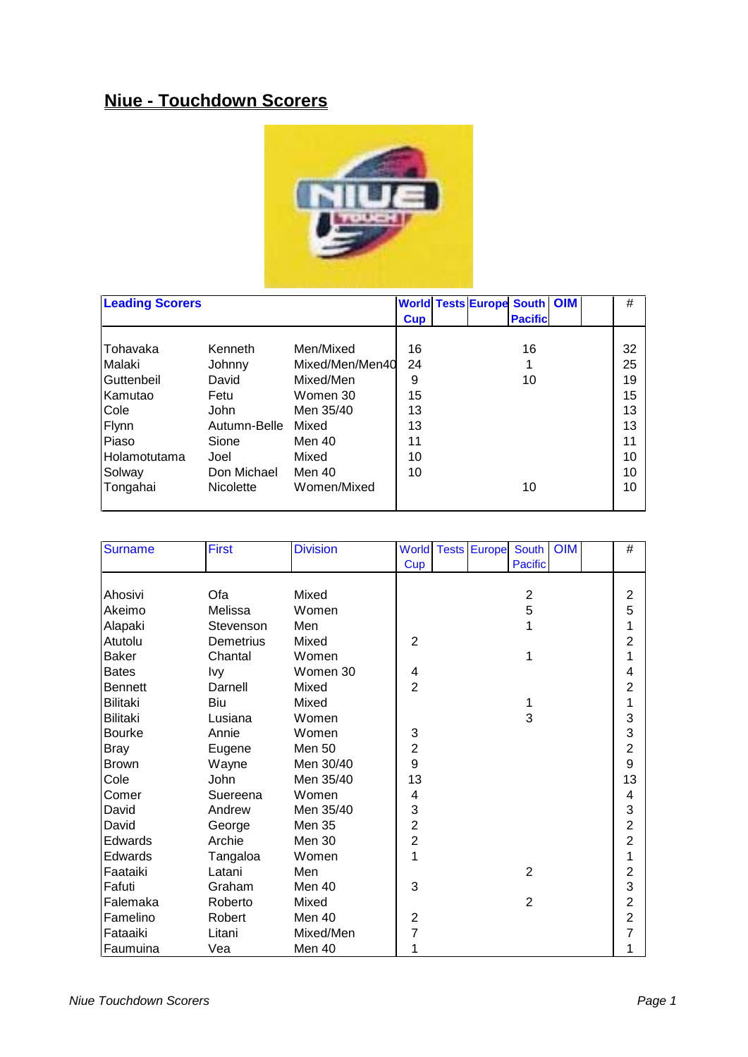## **Niue - Touchdown Scorers**



| <b>Leading Scorers</b> |                  |                 |            | <b>World Tests Europe South OIM</b> |                 |  | #  |
|------------------------|------------------|-----------------|------------|-------------------------------------|-----------------|--|----|
|                        |                  |                 | <b>Cup</b> |                                     | <b>Pacificl</b> |  |    |
|                        |                  |                 |            |                                     |                 |  |    |
| Tohavaka               | Kenneth          | Men/Mixed       | 16         |                                     | 16              |  | 32 |
| Malaki                 | Johnny           | Mixed/Men/Men40 | 24         |                                     |                 |  | 25 |
| Guttenbeil             | David            | Mixed/Men       | 9          |                                     | 10              |  | 19 |
| <b>Kamutao</b>         | Fetu             | Women 30        | 15         |                                     |                 |  | 15 |
| Cole                   | <b>John</b>      | Men 35/40       | 13         |                                     |                 |  | 13 |
| Flynn                  | Autumn-Belle     | Mixed           | 13         |                                     |                 |  | 13 |
| Piaso                  | Sione            | Men 40          | 11         |                                     |                 |  | 11 |
| <b>I</b> Holamotutama  | Joel             | Mixed           | 10         |                                     |                 |  | 10 |
| Solway                 | Don Michael      | Men 40          | 10         |                                     |                 |  | 10 |
| Tongahai               | <b>Nicolette</b> | Women/Mixed     |            |                                     | 10              |  | 10 |
|                        |                  |                 |            |                                     |                 |  |    |

| <b>Surname</b>  | <b>First</b> | <b>Division</b> | <b>World</b>   | <b>OIM</b><br><b>Tests Europe</b><br>South | $\#$           |
|-----------------|--------------|-----------------|----------------|--------------------------------------------|----------------|
|                 |              |                 | Cup            | <b>Pacific</b>                             |                |
|                 |              |                 |                |                                            |                |
| Ahosivi         | Ofa          | Mixed           |                | $\overline{\mathbf{c}}$                    | $\overline{2}$ |
| Akeimo          | Melissa      | Women           |                | 5                                          | 5              |
| Alapaki         | Stevenson    | Men             |                | 1                                          | 1              |
| Atutolu         | Demetrius    | Mixed           | $\overline{2}$ |                                            | $\overline{2}$ |
| <b>Baker</b>    | Chantal      | Women           |                | 1                                          | 1              |
| <b>Bates</b>    | <b>Ivy</b>   | Women 30        | 4              |                                            | 4              |
| <b>Bennett</b>  | Darnell      | Mixed           | $\overline{2}$ |                                            | $\overline{2}$ |
| <b>Bilitaki</b> | Biu          | Mixed           |                | 1                                          | 1              |
| Bilitaki        | Lusiana      | Women           |                | 3                                          | 3              |
| <b>Bourke</b>   | Annie        | Women           | 3              |                                            | 3              |
| <b>Bray</b>     | Eugene       | <b>Men 50</b>   | $\overline{c}$ |                                            | $\overline{2}$ |
| <b>Brown</b>    | Wayne        | Men 30/40       | 9              |                                            | 9              |
| Cole            | John         | Men 35/40       | 13             |                                            | 13             |
| Comer           | Suereena     | Women           | 4              |                                            | 4              |
| David           | Andrew       | Men 35/40       | 3              |                                            | 3              |
| David           | George       | <b>Men 35</b>   | $\overline{c}$ |                                            | $\overline{2}$ |
| Edwards         | Archie       | Men 30          | $\overline{2}$ |                                            | $\overline{2}$ |
| Edwards         | Tangaloa     | Women           | 1              |                                            | 1              |
| Faataiki        | Latani       | Men             |                | $\overline{2}$                             | $\overline{2}$ |
| Fafuti          | Graham       | Men 40          | 3              |                                            | 3              |
| Falemaka        | Roberto      | Mixed           |                | $\overline{2}$                             | $\overline{2}$ |
| Famelino        | Robert       | Men 40          | 2              |                                            | $\overline{2}$ |
| Fataaiki        | Litani       | Mixed/Men       | $\overline{7}$ |                                            | 7              |
| Faumuina        | Vea          | Men 40          | 1              |                                            | 1              |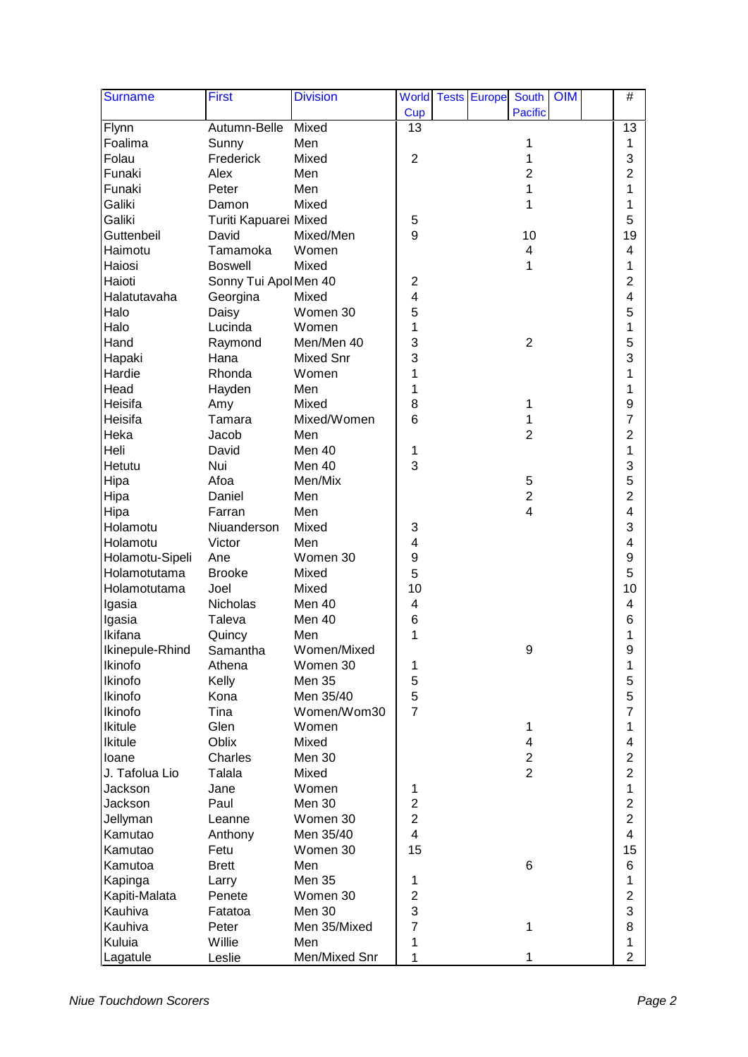| <b>Surname</b>  | <b>First</b>          | <b>Division</b>  |                         | <b>World Tests Europe</b> | South                   | OIM | $\#$           |  |
|-----------------|-----------------------|------------------|-------------------------|---------------------------|-------------------------|-----|----------------|--|
|                 |                       |                  | Cup                     |                           | <b>Pacific</b>          |     |                |  |
| Flynn           | Autumn-Belle          | Mixed            | 13                      |                           |                         |     | 13             |  |
| Foalima         | Sunny                 | Men              |                         |                           | 1                       |     | 1              |  |
| Folau           | Frederick             | Mixed            | $\overline{2}$          |                           | 1                       |     | 3              |  |
| Funaki          | Alex                  | Men              |                         |                           | $\overline{2}$          |     | $\overline{2}$ |  |
| Funaki          | Peter                 | Men              |                         |                           | 1                       |     | 1              |  |
| Galiki          | Damon                 | Mixed            |                         |                           | 1                       |     | 1              |  |
| Galiki          | Turiti Kapuarei Mixed |                  | 5                       |                           |                         |     | 5              |  |
| Guttenbeil      | David                 | Mixed/Men        | 9                       |                           | 10                      |     | 19             |  |
| Haimotu         | Tamamoka              | Women            |                         |                           | 4                       |     | 4              |  |
| Haiosi          | <b>Boswell</b>        | Mixed            |                         |                           | 1                       |     | 1              |  |
| Haioti          | Sonny Tui Apol Men 40 |                  | $\overline{\mathbf{c}}$ |                           |                         |     | $\overline{2}$ |  |
| Halatutavaha    | Georgina              | Mixed            | 4                       |                           |                         |     | 4              |  |
| Halo            | Daisy                 | Women 30         | 5                       |                           |                         |     | 5              |  |
| Halo            | Lucinda               | Women            | 1                       |                           |                         |     | 1              |  |
| Hand            | Raymond               | Men/Men 40       | 3                       |                           | $\overline{2}$          |     | 5              |  |
| Hapaki          | Hana                  | <b>Mixed Snr</b> | 3                       |                           |                         |     | 3              |  |
| Hardie          | Rhonda                | Women            | 1                       |                           |                         |     | 1              |  |
| Head            | Hayden                | Men              | 1                       |                           |                         |     | 1              |  |
| Heisifa         | Amy                   | Mixed            | 8                       |                           | 1                       |     | 9              |  |
| Heisifa         | Tamara                | Mixed/Women      | 6                       |                           |                         |     | $\overline{7}$ |  |
| Heka            | Jacob                 | Men              |                         |                           | $\overline{2}$          |     | $\overline{2}$ |  |
| Heli            | David                 | Men 40           | 1                       |                           |                         |     | 1              |  |
| Hetutu          | Nui                   | Men 40           | 3                       |                           |                         |     | 3              |  |
| Hipa            | Afoa                  | Men/Mix          |                         |                           | 5                       |     | 5              |  |
| Hipa            | Daniel                | Men              |                         |                           | $\overline{c}$          |     | $\overline{2}$ |  |
| Hipa            | Farran                | Men              |                         |                           | $\overline{\mathbf{4}}$ |     | 4              |  |
| Holamotu        | Niuanderson           | Mixed            | 3                       |                           |                         |     | 3              |  |
| Holamotu        | Victor                | Men              | 4                       |                           |                         |     | 4              |  |
| Holamotu-Sipeli | Ane                   | Women 30         | 9                       |                           |                         |     | 9              |  |
| Holamotutama    | <b>Brooke</b>         | Mixed            | 5                       |                           |                         |     | 5              |  |
| Holamotutama    | Joel                  | Mixed            | 10                      |                           |                         |     | 10             |  |
| Igasia          | Nicholas              | Men 40           | 4                       |                           |                         |     | 4              |  |
| Igasia          | Taleva                | Men 40           | 6                       |                           |                         |     | 6              |  |
| Ikifana         | Quincy                | Men              | 1                       |                           |                         |     | 1              |  |
| Ikinepule-Rhind | Samantha              | Women/Mixed      |                         |                           | 9                       |     | 9              |  |
| Ikinofo         | Athena                | Women 30         | 1                       |                           |                         |     | 1              |  |
| Ikinofo         | Kelly                 | <b>Men 35</b>    | 5                       |                           |                         |     | 5              |  |
| Ikinofo         | Kona                  | Men 35/40        | 5                       |                           |                         |     | 5              |  |
| Ikinofo         | Tina                  | Women/Wom30      | $\overline{7}$          |                           |                         |     | $\overline{7}$ |  |
| Ikitule         | Glen                  | Women            |                         |                           | 1                       |     | 1              |  |
| <b>Ikitule</b>  | Oblix                 | Mixed            |                         |                           | 4                       |     | 4              |  |
| loane           | Charles               | Men 30           |                         |                           | $\overline{2}$          |     | $\overline{2}$ |  |
| J. Tafolua Lio  | Talala                | Mixed            |                         |                           | $\overline{2}$          |     | $\overline{2}$ |  |
| Jackson         | Jane                  | Women            | 1                       |                           |                         |     | 1              |  |
| Jackson         | Paul                  | Men 30           | $\overline{2}$          |                           |                         |     | $\overline{c}$ |  |
| Jellyman        | Leanne                | Women 30         | $\overline{c}$          |                           |                         |     | $\overline{2}$ |  |
| Kamutao         | Anthony               | Men 35/40        | $\overline{\mathbf{4}}$ |                           |                         |     | 4              |  |
| Kamutao         | Fetu                  | Women 30         | 15                      |                           |                         |     | 15             |  |
| Kamutoa         | <b>Brett</b>          | Men              |                         |                           | $\,6$                   |     | 6              |  |
| Kapinga         | Larry                 | <b>Men 35</b>    | 1                       |                           |                         |     | 1              |  |
| Kapiti-Malata   | Penete                | Women 30         | 2                       |                           |                         |     | $\overline{2}$ |  |
| Kauhiva         | Fatatoa               | Men 30           | 3                       |                           |                         |     | 3              |  |
| Kauhiva         | Peter                 | Men 35/Mixed     | $\overline{7}$          |                           | 1                       |     | 8              |  |
| Kuluia          | Willie                | Men              | 1                       |                           |                         |     | 1              |  |
| Lagatule        | Leslie                | Men/Mixed Snr    | 1                       |                           | 1                       |     | $\overline{2}$ |  |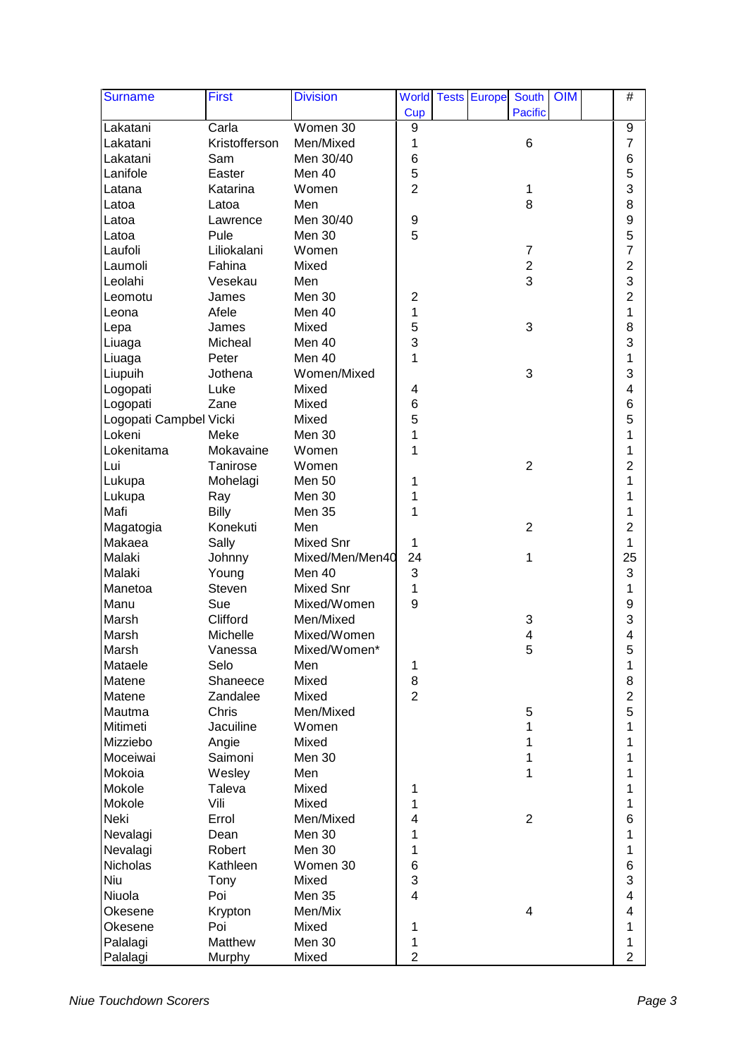| <b>Surname</b>         | First         | <b>Division</b>  |                         | <b>World Tests Europe</b> | <b>South</b>     | <b>OIM</b> | $\#$                    |  |
|------------------------|---------------|------------------|-------------------------|---------------------------|------------------|------------|-------------------------|--|
|                        |               |                  | Cup                     |                           | <b>Pacific</b>   |            |                         |  |
| Lakatani               | Carla         | Women 30         | 9                       |                           |                  |            | 9                       |  |
| Lakatani               | Kristofferson | Men/Mixed        | 1                       |                           | $\,6$            |            | $\overline{7}$          |  |
| Lakatani               | Sam           | Men 30/40        | 6                       |                           |                  |            | 6                       |  |
| Lanifole               | Easter        | Men 40           | 5                       |                           |                  |            | 5                       |  |
| Latana                 | Katarina      | Women            | $\overline{2}$          |                           | 1                |            | 3                       |  |
| Latoa                  | Latoa         | Men              |                         |                           | 8                |            | 8                       |  |
| Latoa                  | Lawrence      | Men 30/40        | 9                       |                           |                  |            | 9                       |  |
| Latoa                  | Pule          | Men 30           | 5                       |                           |                  |            | 5                       |  |
| Laufoli                | Liliokalani   | Women            |                         |                           | $\overline{7}$   |            | $\overline{7}$          |  |
| Laumoli                | Fahina        | Mixed            |                         |                           | $\boldsymbol{2}$ |            | $\overline{2}$          |  |
| Leolahi                | Vesekau       | Men              |                         |                           | 3                |            | 3                       |  |
| Leomotu                | James         | Men 30           | $\overline{c}$          |                           |                  |            | $\overline{2}$          |  |
| Leona                  | Afele         | Men 40           | 1                       |                           |                  |            | 1                       |  |
| Lepa                   | James         | Mixed            | 5                       |                           | 3                |            | 8                       |  |
| Liuaga                 | Micheal       | Men 40           | 3                       |                           |                  |            | 3                       |  |
| Liuaga                 | Peter         | Men 40           | 1                       |                           |                  |            | 1                       |  |
| Liupuih                | Jothena       | Women/Mixed      |                         |                           | 3                |            | 3                       |  |
| Logopati               | Luke          | Mixed            | 4                       |                           |                  |            | $\overline{\mathbf{4}}$ |  |
| Logopati               | Zane          | Mixed            | 6                       |                           |                  |            | 6                       |  |
| Logopati Campbel Vicki |               | Mixed            | 5                       |                           |                  |            | 5                       |  |
| Lokeni                 | Meke          | Men 30           | 1                       |                           |                  |            | 1                       |  |
| Lokenitama             | Mokavaine     | Women            | 1                       |                           |                  |            | 1                       |  |
| Lui                    | Tanirose      | Women            |                         |                           | $\overline{2}$   |            | $\overline{2}$          |  |
| Lukupa                 | Mohelagi      | Men 50           | 1                       |                           |                  |            | 1                       |  |
| Lukupa                 | Ray           | Men 30           | 1                       |                           |                  |            | 1                       |  |
| Mafi                   | Billy         | Men 35           | 1                       |                           |                  |            | 1                       |  |
| Magatogia              | Konekuti      | Men              |                         |                           | $\overline{2}$   |            | $\overline{2}$          |  |
| Makaea                 | Sally         | Mixed Snr        | 1                       |                           |                  |            | 1                       |  |
| Malaki                 | Johnny        | Mixed/Men/Men40  | 24                      |                           | 1                |            | 25                      |  |
| Malaki                 | Young         | Men 40           | 3                       |                           |                  |            | 3                       |  |
| Manetoa                | Steven        | <b>Mixed Snr</b> | 1                       |                           |                  |            | 1                       |  |
| Manu                   | Sue           | Mixed/Women      | 9                       |                           |                  |            | 9                       |  |
| Marsh                  | Clifford      | Men/Mixed        |                         |                           | 3                |            | 3                       |  |
| Marsh                  | Michelle      | Mixed/Women      |                         |                           | 4                |            | 4                       |  |
| Marsh                  | Vanessa       | Mixed/Women*     |                         |                           | 5                |            | 5                       |  |
| Mataele                | Selo          | Men              | 1                       |                           |                  |            | 1                       |  |
| Matene                 | Shaneece      | Mixed            | 8                       |                           |                  |            | 8                       |  |
| Matene                 | Zandalee      | Mixed            | $\overline{2}$          |                           |                  |            | $\overline{2}$          |  |
| Mautma                 | Chris         | Men/Mixed        |                         |                           | $\mathbf 5$      |            | 5                       |  |
| Mitimeti               | Jacuiline     | Women            |                         |                           | 1                |            | 1                       |  |
| Mizziebo               | Angie         | Mixed            |                         |                           | 1                |            | 1                       |  |
| Moceiwai               | Saimoni       | Men 30           |                         |                           | 1                |            | 1                       |  |
| Mokoia                 | Wesley        | Men              |                         |                           | 1                |            | 1                       |  |
| Mokole                 | Taleva        | Mixed            | 1                       |                           |                  |            | 1                       |  |
| Mokole                 | Vili          | Mixed            | 1                       |                           |                  |            | 1                       |  |
| Neki                   | Errol         | Men/Mixed        | $\overline{\mathbf{4}}$ |                           | $\overline{2}$   |            | 6                       |  |
| Nevalagi               | Dean          | Men 30           | 1                       |                           |                  |            | 1                       |  |
| Nevalagi               | Robert        | Men 30           | 1                       |                           |                  |            | 1                       |  |
| Nicholas               | Kathleen      | Women 30         | $\,6$                   |                           |                  |            | 6                       |  |
| Niu                    | Tony          | Mixed            | 3                       |                           |                  |            | 3                       |  |
| Niuola                 | Poi           | <b>Men 35</b>    | $\overline{\mathbf{4}}$ |                           |                  |            | 4                       |  |
| Okesene                | Krypton       | Men/Mix          |                         |                           | 4                |            | 4                       |  |
| Okesene                | Poi           | Mixed            | 1                       |                           |                  |            | 1                       |  |
| Palalagi               | Matthew       | Men 30           | 1                       |                           |                  |            | 1                       |  |
| Palalagi               | Murphy        | Mixed            | $\overline{2}$          |                           |                  |            | $\overline{2}$          |  |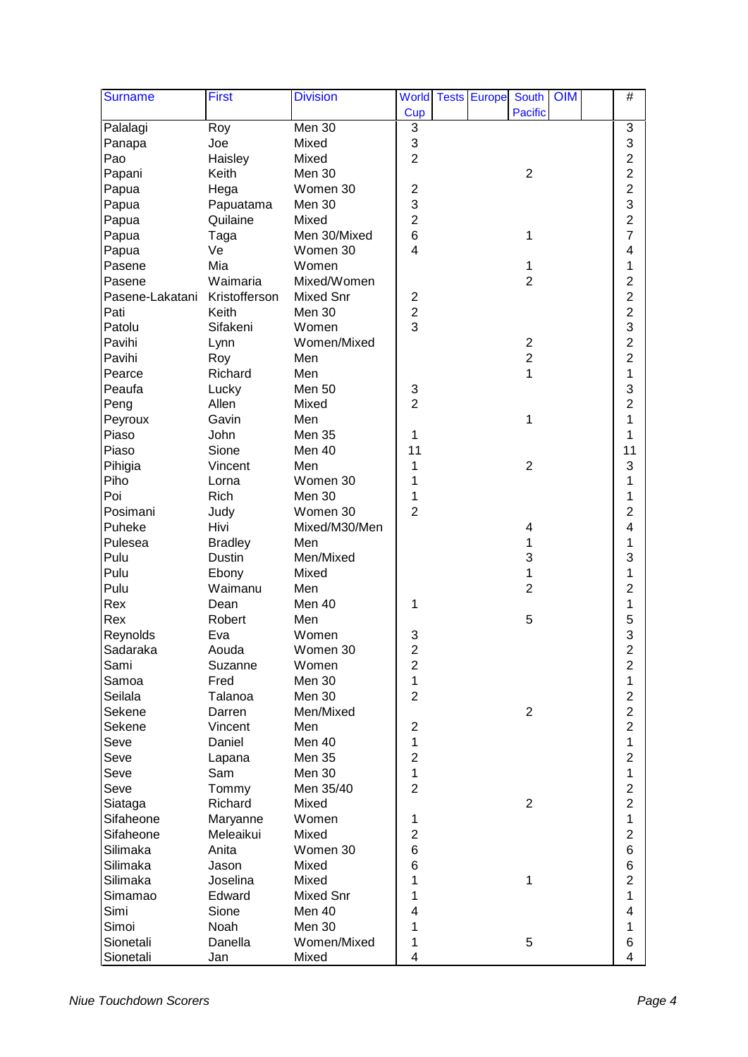| <b>Surname</b>  | First          | <b>Division</b>  |                         | <b>World Tests Europe</b> | <b>South</b>   | $\overline{O}$ M | $\#$                    |  |
|-----------------|----------------|------------------|-------------------------|---------------------------|----------------|------------------|-------------------------|--|
|                 |                |                  | Cup                     |                           | <b>Pacific</b> |                  |                         |  |
| Palalagi        | Roy            | Men 30           | 3                       |                           |                |                  | 3                       |  |
| Panapa          | Joe            | Mixed            | 3                       |                           |                |                  | 3                       |  |
| Pao             | Haisley        | Mixed            | $\overline{2}$          |                           |                |                  | $\overline{c}$          |  |
| Papani          | Keith          | Men 30           |                         |                           | $\overline{2}$ |                  | $\overline{c}$          |  |
| Papua           | Hega           | Women 30         | $\overline{c}$          |                           |                |                  | $\overline{2}$          |  |
| Papua           | Papuatama      | Men 30           | 3                       |                           |                |                  | 3                       |  |
| Papua           | Quilaine       | Mixed            | $\overline{2}$          |                           |                |                  | $\overline{c}$          |  |
| Papua           | Taga           | Men 30/Mixed     | $6\phantom{1}6$         |                           | 1              |                  | $\overline{7}$          |  |
| Papua           | Ve             | Women 30         | 4                       |                           |                |                  | 4                       |  |
| Pasene          | Mia            | Women            |                         |                           | 1              |                  | 1                       |  |
| Pasene          | Waimaria       | Mixed/Women      |                         |                           | $\overline{c}$ |                  | $\overline{\mathbf{c}}$ |  |
| Pasene-Lakatani | Kristofferson  | <b>Mixed Snr</b> | $\overline{\mathbf{c}}$ |                           |                |                  | $\overline{2}$          |  |
| Pati            | Keith          | Men 30           | $\overline{c}$          |                           |                |                  | $\overline{c}$          |  |
| Patolu          | Sifakeni       | Women            | 3                       |                           |                |                  | 3                       |  |
| Pavihi          | Lynn           | Women/Mixed      |                         |                           | $\sqrt{2}$     |                  | $\overline{2}$          |  |
| Pavihi          | Roy            | Men              |                         |                           | $\overline{2}$ |                  | $\overline{2}$          |  |
| Pearce          | Richard        | Men              |                         |                           | 1              |                  | 1                       |  |
| Peaufa          | Lucky          | Men 50           | 3                       |                           |                |                  | 3                       |  |
| Peng            | Allen          | Mixed            | $\overline{2}$          |                           |                |                  | $\overline{2}$          |  |
| Peyroux         | Gavin          | Men              |                         |                           | 1              |                  | 1                       |  |
| Piaso           | John           | Men 35           | 1                       |                           |                |                  | 1                       |  |
| Piaso           | Sione          | Men 40           | 11                      |                           |                |                  | 11                      |  |
| Pihigia         | Vincent        | Men              | 1                       |                           | $\overline{2}$ |                  | 3                       |  |
| Piho            | Lorna          | Women 30         | 1                       |                           |                |                  | 1                       |  |
| Poi             | Rich           | Men 30           | 1                       |                           |                |                  | 1                       |  |
| Posimani        | Judy           | Women 30         | $\overline{2}$          |                           |                |                  | $\overline{2}$          |  |
| Puheke          | Hivi           | Mixed/M30/Men    |                         |                           | 4              |                  | 4                       |  |
| Pulesea         | <b>Bradley</b> | Men              |                         |                           | 1              |                  | 1                       |  |
| Pulu            | <b>Dustin</b>  | Men/Mixed        |                         |                           | 3              |                  | 3                       |  |
| Pulu            | Ebony          | Mixed            |                         |                           | 1              |                  | 1                       |  |
| Pulu            | Waimanu        | Men              |                         |                           | $\overline{2}$ |                  | $\overline{2}$          |  |
| Rex             | Dean           | Men 40           | 1                       |                           |                |                  | 1                       |  |
| Rex             | Robert         | Men              |                         |                           | 5              |                  | 5                       |  |
| Reynolds        | Eva            | Women            | 3                       |                           |                |                  | 3                       |  |
| Sadaraka        | Aouda          | Women 30         | $\overline{c}$          |                           |                |                  | $\overline{\mathbf{c}}$ |  |
| Sami            | Suzanne        | Women            | $\overline{\mathbf{c}}$ |                           |                |                  | $\overline{\mathbf{c}}$ |  |
| Samoa           | Fred           | Men 30           | 1                       |                           |                |                  | 1                       |  |
| Seilala         | Talanoa        | Men 30           | $\overline{2}$          |                           |                |                  | $\overline{c}$          |  |
| Sekene          | Darren         | Men/Mixed        |                         |                           | $\sqrt{2}$     |                  | $\overline{2}$          |  |
| Sekene          | Vincent        | Men              | $\overline{c}$          |                           |                |                  | $\overline{c}$          |  |
| Seve            | Daniel         | Men 40           | 1                       |                           |                |                  | $\mathbf{1}$            |  |
| Seve            | Lapana         | <b>Men 35</b>    | $\overline{2}$          |                           |                |                  | $\overline{2}$          |  |
| Seve            | Sam            | Men 30           | 1                       |                           |                |                  | $\mathbf{1}$            |  |
| Seve            | Tommy          | Men 35/40        | $\overline{2}$          |                           |                |                  | $\overline{c}$          |  |
| Siataga         | Richard        | Mixed            |                         |                           | $\overline{2}$ |                  | $\overline{c}$          |  |
| Sifaheone       | Maryanne       | Women            | 1                       |                           |                |                  | 1                       |  |
| Sifaheone       | Meleaikui      | Mixed            | $\overline{\mathbf{c}}$ |                           |                |                  | $\overline{c}$          |  |
| Silimaka        | Anita          | Women 30         | $\,$ 6 $\,$             |                           |                |                  | 6                       |  |
| Silimaka        | Jason          | Mixed            | $\,6$                   |                           |                |                  | 6                       |  |
| Silimaka        | Joselina       | Mixed            | 1                       |                           | 1              |                  | $\overline{c}$          |  |
| Simamao         | Edward         | Mixed Snr        | 1                       |                           |                |                  | 1                       |  |
| Simi            | Sione          | Men 40           | 4                       |                           |                |                  | 4                       |  |
| Simoi           | Noah           | Men 30           | 1                       |                           |                |                  | 1                       |  |
| Sionetali       | Danella        | Women/Mixed      | 1                       |                           | 5              |                  | 6                       |  |
| Sionetali       | Jan            | Mixed            | $\overline{\mathbf{4}}$ |                           |                |                  | 4                       |  |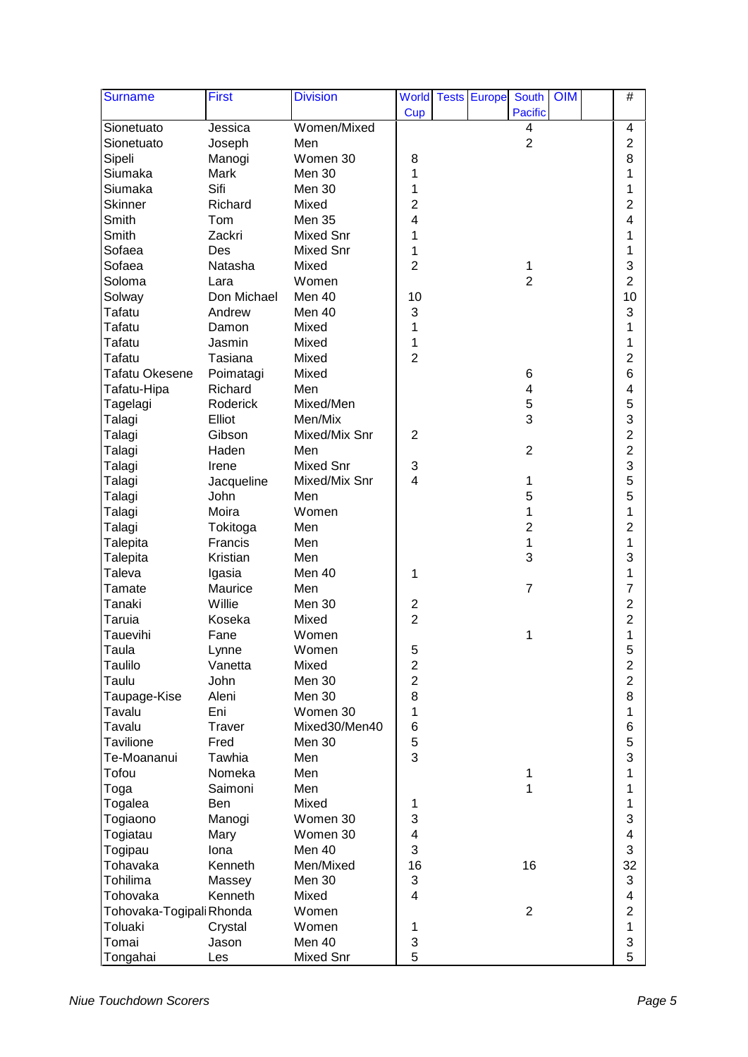| <b>Surname</b>           | <b>First</b>      | <b>Division</b>    |                                           | <b>World Tests Europe</b> | <b>South</b>   | OIM | $\#$             |  |
|--------------------------|-------------------|--------------------|-------------------------------------------|---------------------------|----------------|-----|------------------|--|
|                          |                   |                    | Cup                                       |                           | <b>Pacific</b> |     |                  |  |
| Sionetuato               | Jessica           | Women/Mixed        |                                           |                           | 4              |     | 4                |  |
| Sionetuato               | Joseph            | Men                |                                           |                           | $\overline{2}$ |     | $\overline{2}$   |  |
| Sipeli                   | Manogi            | Women 30           | 8                                         |                           |                |     | 8                |  |
| Siumaka                  | Mark              | Men 30             | 1                                         |                           |                |     | 1                |  |
| Siumaka                  | Sifi              | Men 30             | 1                                         |                           |                |     | 1                |  |
| <b>Skinner</b>           | Richard           | Mixed              | $\overline{2}$                            |                           |                |     | $\overline{2}$   |  |
| Smith                    | Tom               | <b>Men 35</b>      | 4                                         |                           |                |     | 4                |  |
| Smith                    | Zackri            | <b>Mixed Snr</b>   | 1                                         |                           |                |     | 1                |  |
| Sofaea                   | Des               | <b>Mixed Snr</b>   | 1                                         |                           |                |     | 1                |  |
| Sofaea                   | Natasha           | Mixed              | $\overline{2}$                            |                           | 1              |     | 3                |  |
| Soloma                   | Lara              | Women              |                                           |                           | $\overline{2}$ |     | $\overline{2}$   |  |
| Solway                   | Don Michael       | Men 40             | 10                                        |                           |                |     | 10               |  |
| Tafatu                   | Andrew            | Men 40             | 3                                         |                           |                |     | 3                |  |
| Tafatu                   | Damon             | Mixed              | 1                                         |                           |                |     | 1                |  |
| Tafatu                   | Jasmin            | Mixed              | 1                                         |                           |                |     | 1                |  |
| Tafatu                   | Tasiana           | Mixed              | $\overline{2}$                            |                           |                |     | $\overline{2}$   |  |
| <b>Tafatu Okesene</b>    | Poimatagi         | Mixed              |                                           |                           | 6              |     | 6                |  |
| Tafatu-Hipa              | Richard           | Men                |                                           |                           | 4              |     | 4                |  |
| Tagelagi                 | Roderick          | Mixed/Men          |                                           |                           | 5              |     | 5                |  |
| Talagi                   | Elliot            | Men/Mix            |                                           |                           | 3              |     | 3                |  |
| Talagi                   | Gibson            | Mixed/Mix Snr      | $\overline{2}$                            |                           |                |     | $\overline{c}$   |  |
| Talagi                   | Haden             | Men                |                                           |                           | $\overline{2}$ |     | $\overline{c}$   |  |
| Talagi                   | Irene             | <b>Mixed Snr</b>   | 3                                         |                           |                |     | 3                |  |
| Talagi                   | Jacqueline        | Mixed/Mix Snr      | $\overline{\mathbf{4}}$                   |                           | 1              |     | 5                |  |
| Talagi                   | John              | Men                |                                           |                           | 5              |     | 5                |  |
| Talagi                   | Moira             | Women              |                                           |                           | 1              |     | 1                |  |
| Talagi                   | Tokitoga          | Men                |                                           |                           | $\overline{2}$ |     | $\overline{2}$   |  |
| Talepita                 | Francis           | Men                |                                           |                           | 1              |     | 1                |  |
| Talepita                 | Kristian          | Men                |                                           |                           | 3              |     | 3                |  |
| Taleva                   |                   | Men 40             | 1                                         |                           |                |     | 1                |  |
| Tamate                   | Igasia<br>Maurice | Men                |                                           |                           | $\overline{7}$ |     | $\overline{7}$   |  |
| Tanaki                   | Willie            | Men 30             |                                           |                           |                |     | $\overline{c}$   |  |
| Taruia                   | Koseka            | Mixed              | $\overline{\mathbf{c}}$<br>$\overline{2}$ |                           |                |     | $\overline{2}$   |  |
| Tauevihi                 | Fane              | Women              |                                           |                           | 1              |     | 1                |  |
|                          |                   |                    |                                           |                           |                |     |                  |  |
| Taula                    | Lynne             | Women              | 5                                         |                           |                |     | 5                |  |
| Taulilo                  | Vanetta           | Mixed              | $\overline{\mathbf{c}}$                   |                           |                |     | $\boldsymbol{2}$ |  |
| Taulu                    | John              | Men 30             | $\overline{2}$                            |                           |                |     | $\overline{c}$   |  |
| Taupage-Kise             | Aleni             | Men 30<br>Women 30 | 8                                         |                           |                |     | 8                |  |
| Tavalu                   | Eni               |                    | 1                                         |                           |                |     | 1                |  |
| Tavalu                   | Traver            | Mixed30/Men40      | $\,6$                                     |                           |                |     | 6                |  |
| <b>Tavilione</b>         | Fred              | Men 30             | 5                                         |                           |                |     | 5                |  |
| Te-Moananui              | Tawhia            | Men                | 3                                         |                           |                |     | 3                |  |
| Tofou                    | Nomeka            | Men                |                                           |                           | 1              |     | 1                |  |
| Toga                     | Saimoni           | Men                |                                           |                           | 1              |     | 1                |  |
| Togalea                  | Ben               | Mixed              | 1                                         |                           |                |     | 1                |  |
| Togiaono                 | Manogi            | Women 30           | 3                                         |                           |                |     | 3                |  |
| Togiatau                 | Mary              | Women 30           | $\overline{\mathbf{4}}$                   |                           |                |     | 4                |  |
| Togipau                  | Iona              | Men 40             | 3                                         |                           |                |     | 3                |  |
| Tohavaka                 | Kenneth           | Men/Mixed          | 16                                        |                           | 16             |     | 32               |  |
| Tohilima                 | Massey            | Men 30             | 3                                         |                           |                |     | $\sqrt{3}$       |  |
| Tohovaka                 | Kenneth           | Mixed              | 4                                         |                           |                |     | 4                |  |
| Tohovaka-Togipali Rhonda |                   | Women              |                                           |                           | $\overline{2}$ |     | $\overline{2}$   |  |
| Toluaki                  | Crystal           | Women              | 1                                         |                           |                |     | 1                |  |
| Tomai                    | Jason             | Men 40             | 3                                         |                           |                |     | 3                |  |
| Tongahai                 | Les               | Mixed Snr          | 5                                         |                           |                |     | 5                |  |